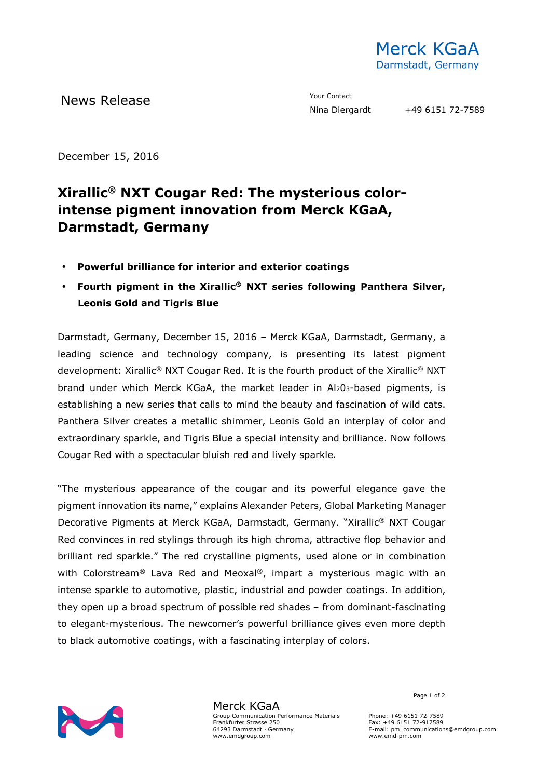

News Release The Contact Mews Release Contact Prour Contact Prour Contact Prour Contact Prour Contact Prour Contact Prour Contact Prour Contact Prour Contact Prour Contact Prour Contact Prour Contact Prour Contact Prour Co

December 15, 2016

## **Xirallic® NXT Cougar Red: The mysterious colorintense pigment innovation from Merck KGaA, Darmstadt, Germany**

- **Powerful brilliance for interior and exterior coatings**
- **Fourth pigment in the Xirallic® NXT series following Panthera Silver, Leonis Gold and Tigris Blue**

Darmstadt, Germany, December 15, 2016 – Merck KGaA, Darmstadt, Germany, a leading science and technology company, is presenting its latest pigment development: Xirallic® NXT Cougar Red. It is the fourth product of the Xirallic® NXT brand under which Merck KGaA, the market leader in Al203-based pigments, is establishing a new series that calls to mind the beauty and fascination of wild cats. Panthera Silver creates a metallic shimmer, Leonis Gold an interplay of color and extraordinary sparkle, and Tigris Blue a special intensity and brilliance. Now follows Cougar Red with a spectacular bluish red and lively sparkle.

"The mysterious appearance of the cougar and its powerful elegance gave the pigment innovation its name," explains Alexander Peters, Global Marketing Manager Decorative Pigments at Merck KGaA, Darmstadt, Germany. "Xirallic® NXT Cougar Red convinces in red stylings through its high chroma, attractive flop behavior and brilliant red sparkle." The red crystalline pigments, used alone or in combination with Colorstream<sup>®</sup> Lava Red and Meoxal<sup>®</sup>, impart a mysterious magic with an intense sparkle to automotive, plastic, industrial and powder coatings. In addition, they open up a broad spectrum of possible red shades – from dominant-fascinating to elegant-mysterious. The newcomer's powerful brilliance gives even more depth to black automotive coatings, with a fascinating interplay of colors.



Merck KGaA Group Communication Performance Materials Frankfurter Strasse 250 64293 Darmstadt · Germany www.emdgroup.com

Page 1 of 2

Phone: +49 6151 72-7589 Fax: +49 6151 72-917589 E-mail: pm\_communications@emdgroup.com www.emd-pm.com